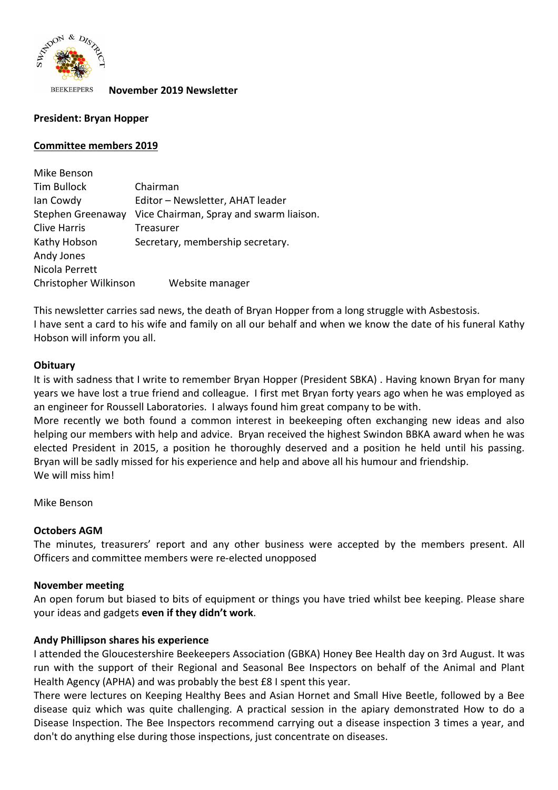

**BEEKEEPERS November 2019 Newsletter** 

## **President: Bryan Hopper**

### **Committee members 2019**

| Mike Benson                              |                                         |  |
|------------------------------------------|-----------------------------------------|--|
| <b>Tim Bullock</b>                       | Chairman                                |  |
| Ian Cowdy                                | Editor - Newsletter, AHAT leader        |  |
| Stephen Greenaway                        | Vice Chairman, Spray and swarm liaison. |  |
| <b>Clive Harris</b>                      | Treasurer                               |  |
| Kathy Hobson                             | Secretary, membership secretary.        |  |
| Andy Jones                               |                                         |  |
| Nicola Perrett                           |                                         |  |
| Christopher Wilkinson<br>Website manager |                                         |  |

This newsletter carries sad news, the death of Bryan Hopper from a long struggle with Asbestosis. I have sent a card to his wife and family on all our behalf and when we know the date of his funeral Kathy Hobson will inform you all.

### **Obituary**

It is with sadness that I write to remember Bryan Hopper (President SBKA) . Having known Bryan for many years we have lost a true friend and colleague. I first met Bryan forty years ago when he was employed as an engineer for Roussell Laboratories. I always found him great company to be with.

More recently we both found a common interest in beekeeping often exchanging new ideas and also helping our members with help and advice. Bryan received the highest Swindon BBKA award when he was elected President in 2015, a position he thoroughly deserved and a position he held until his passing. Bryan will be sadly missed for his experience and help and above all his humour and friendship. We will miss him!

Mike Benson

### **Octobers AGM**

The minutes, treasurers' report and any other business were accepted by the members present. All Officers and committee members were re-elected unopposed

### **November meeting**

An open forum but biased to bits of equipment or things you have tried whilst bee keeping. Please share your ideas and gadgets **even if they didn't work**.

### **Andy Phillipson shares his experience**

I attended the Gloucestershire Beekeepers Association (GBKA) Honey Bee Health day on 3rd August. It was run with the support of their Regional and Seasonal Bee Inspectors on behalf of the Animal and Plant Health Agency (APHA) and was probably the best £8 I spent this year.

There were lectures on Keeping Healthy Bees and Asian Hornet and Small Hive Beetle, followed by a Bee disease quiz which was quite challenging. A practical session in the apiary demonstrated How to do a Disease Inspection. The Bee Inspectors recommend carrying out a disease inspection 3 times a year, and don't do anything else during those inspections, just concentrate on diseases.